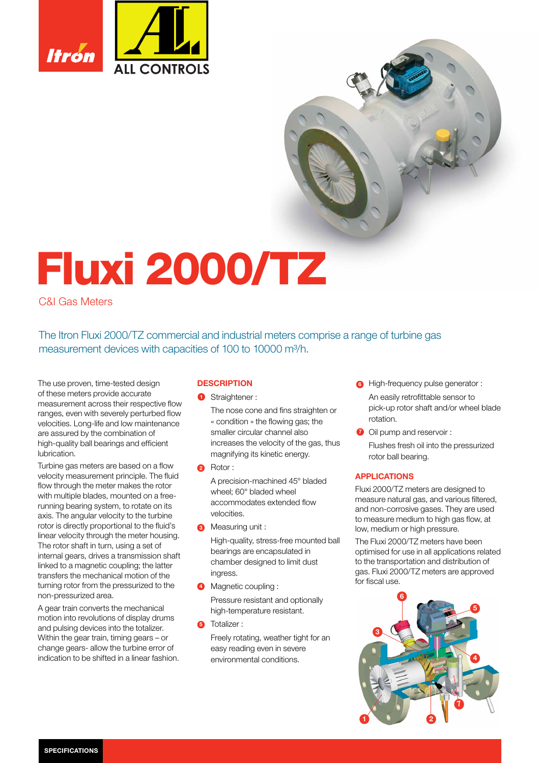

# Fluxi 2000/TZ

# C&I Gas Meters

The Itron Fluxi 2000/TZ commercial and industrial meters comprise a range of turbine gas measurement devices with capacities of 100 to 10000 m<sup>3</sup>/h.

The use proven, time-tested design of these meters provide accurate measurement across their respective flow ranges, even with severely perturbed flow velocities. Long-life and low maintenance are assured by the combination of high-quality ball bearings and efficient lubrication.

Turbine gas meters are based on a flow velocity measurement principle. The fluid flow through the meter makes the rotor with multiple blades, mounted on a freerunning bearing system, to rotate on its axis. The angular velocity to the turbine rotor is directly proportional to the fluid's linear velocity through the meter housing. The rotor shaft in turn, using a set of internal gears, drives a transmission shaft linked to a magnetic coupling; the latter transfers the mechanical motion of the turning rotor from the pressurized to the non-pressurized area.

A gear train converts the mechanical motion into revolutions of display drums and pulsing devices into the totalizer. Within the gear train, timing gears – or change gears- allow the turbine error of indication to be shifted in a linear fashion.

## **DESCRIPTION**

**1** Straightener :

The nose cone and fins straighten or « condition » the flowing gas; the smaller circular channel also increases the velocity of the gas, thus magnifying its kinetic energy.

2 Rotor:

A precision-machined 45° bladed wheel; 60° bladed wheel accommodates extended flow velocities.

**3** Measuring unit :

High-quality, stress-free mounted ball bearings are encapsulated in chamber designed to limit dust ingress.

- **4** Magnetic coupling : Pressure resistant and optionally high-temperature resistant.
- 5 Totalizer :

Freely rotating, weather tight for an easy reading even in severe environmental conditions.

- **b** High-frequency pulse generator : An easily retrofittable sensor to pick-up rotor shaft and/or wheel blade rotation.
- **O** Oil pump and reservoir: Flushes fresh oil into the pressurized rotor ball bearing.

## APPLICATIONS

Fluxi 2000/TZ meters are designed to measure natural gas, and various filtered, and non-corrosive gases. They are used to measure medium to high gas flow, at low, medium or high pressure.

The Fluxi 2000/TZ meters have been optimised for use in all applications related to the transportation and distribution of gas. Fluxi 2000/TZ meters are approved for fiscal use.

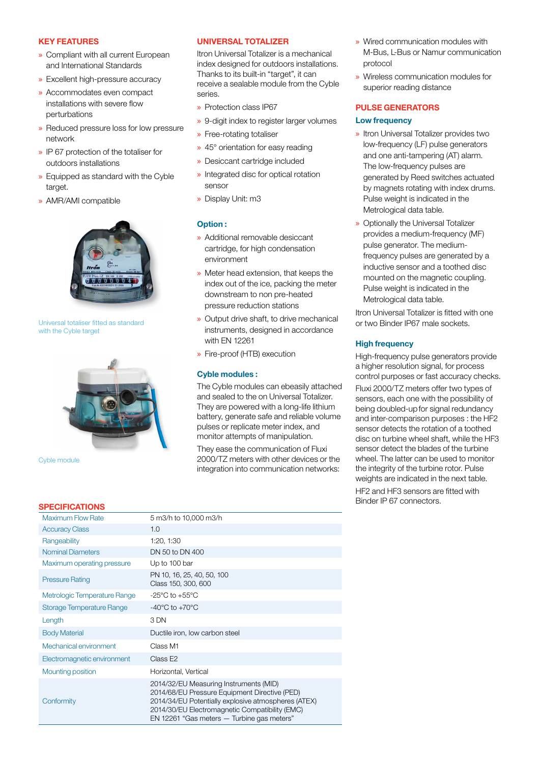### KEY FEATURES

- » Compliant with all current European and International Standards
- » Excellent high-pressure accuracy
- » Accommodates even compact installations with severe flow perturbations
- » Reduced pressure loss for low pressure network
- » IP 67 protection of the totaliser for outdoors installations
- » Equipped as standard with the Cyble target.
- » AMR/AMI compatible



Universal totaliser fitted as standard with the Cyble target



Cyble module

## UNIVERSAL TOTALIZER

Itron Universal Totalizer is a mechanical index designed for outdoors installations. Thanks to its built-in "target", it can receive a sealable module from the Cyble series.

- » Protection class IP67
- » 9-digit index to register larger volumes
- » Free-rotating totaliser
- » 45° orientation for easy reading
- » Desiccant cartridge included
- » Integrated disc for optical rotation sensor
- » Display Unit: m3

## Option :

- » Additional removable desiccant cartridge, for high condensation environment
- » Meter head extension, that keeps the index out of the ice, packing the meter downstream to non pre-heated pressure reduction stations
- » Output drive shaft, to drive mechanical instruments, designed in accordance with EN 12261
- » Fire-proof (HTB) execution

## Cyble modules :

The Cyble modules can ebeasily attached and sealed to the on Universal Totalizer. They are powered with a long-life lithium battery, generate safe and reliable volume pulses or replicate meter index, and monitor attempts of manipulation.

They ease the communication of Fluxi 2000/TZ meters with other devices or the integration into communication networks:

- » Wired communication modules with M-Bus, L-Bus or Namur communication protocol
- » Wireless communication modules for superior reading distance

## PULSE GENERATORS

## Low frequency

- » Itron Universal Totalizer provides two low-frequency (LF) pulse generators and one anti-tampering (AT) alarm. The low-frequency pulses are generated by Reed switches actuated by magnets rotating with index drums. Pulse weight is indicated in the Metrological data table.
- » Optionally the Universal Totalizer provides a medium-frequency (MF) pulse generator. The mediumfrequency pulses are generated by a inductive sensor and a toothed disc mounted on the magnetic coupling. Pulse weight is indicated in the Metrological data table.

Itron Universal Totalizer is fitted with one or two Binder IP67 male sockets.

## **High frequency**

High-frequency pulse generators provide a higher resolution signal, for process control purposes or fast accuracy checks. Fluxi 2000/TZ meters offer two types of sensors, each one with the possibility of being doubled-up for signal redundancy and inter-comparison purposes : the HF2 sensor detects the rotation of a toothed disc on turbine wheel shaft, while the HF3 sensor detect the blades of the turbine wheel. The latter can be used to monitor the integrity of the turbine rotor. Pulse weights are indicated in the next table.

HF2 and HF3 sensors are fitted with

Binder IP 67 connectors.

#### **SPECIFICATIONS**

| <b>Maximum Flow Rate</b>     | 5 m3/h to 10,000 m3/h                                                                                                                                                                                                                          |
|------------------------------|------------------------------------------------------------------------------------------------------------------------------------------------------------------------------------------------------------------------------------------------|
| <b>Accuracy Class</b>        | 1.0                                                                                                                                                                                                                                            |
| Rangeability                 | 1:20, 1:30                                                                                                                                                                                                                                     |
| <b>Nominal Diameters</b>     | DN 50 to DN 400                                                                                                                                                                                                                                |
| Maximum operating pressure   | Up to 100 bar                                                                                                                                                                                                                                  |
| <b>Pressure Rating</b>       | PN 10, 16, 25, 40, 50, 100<br>Class 150, 300, 600                                                                                                                                                                                              |
| Metrologic Temperature Range | $-25^{\circ}$ C to $+55^{\circ}$ C                                                                                                                                                                                                             |
| Storage Temperature Range    | $-40^{\circ}$ C to $+70^{\circ}$ C                                                                                                                                                                                                             |
| Length                       | 3 DN                                                                                                                                                                                                                                           |
| <b>Body Material</b>         | Ductile iron, low carbon steel                                                                                                                                                                                                                 |
| Mechanical environment       | Class M1                                                                                                                                                                                                                                       |
| Electromagnetic environment  | Class E <sub>2</sub>                                                                                                                                                                                                                           |
| Mounting position            | Horizontal, Vertical                                                                                                                                                                                                                           |
| Conformity                   | 2014/32/EU Measuring Instruments (MID)<br>2014/68/EU Pressure Equipment Directive (PED)<br>2014/34/EU Potentially explosive atmospheres (ATEX)<br>2014/30/EU Electromagnetic Compatibility (EMC)<br>EN 12261 "Gas meters - Turbine gas meters" |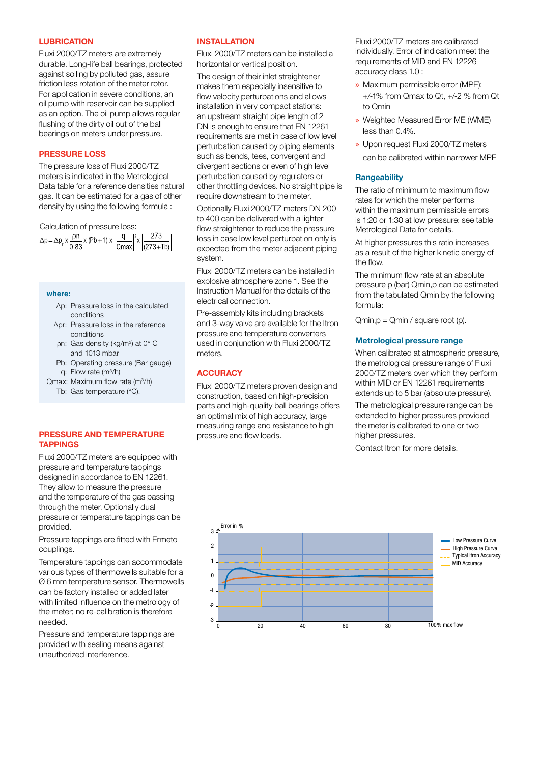#### **LUBRICATION**

Fluxi 2000/TZ meters are extremely durable. Long-life ball bearings, protected against soiling by polluted gas, assure friction less rotation of the meter rotor. For application in severe conditions, an oil pump with reservoir can be supplied as an option. The oil pump allows regular flushing of the dirty oil out of the ball bearings on meters under pressure.

## PRESSURE LOSS

The pressure loss of Fluxi 2000/TZ meters is indicated in the Metrological Data table for a reference densities natural gas. It can be estimated for a gas of other density by using the following formula :

Calculation of pressure loss:<br>  $\Delta p = \Delta p_r x \frac{\rho n}{0.83} x (\rho b + 1) x \left[ \frac{q}{\text{Qmax}} \right]^2 x \left[ \frac{273}{(273+7b)} \right]$ 

#### where:

- ∆p: Pressure loss in the calculated conditions
- ∆pr: Pressure loss in the reference conditions
- n: Gas density (kg/m<sup>3</sup>) at 0° C and 1013 mbar
- Pb: Operating pressure (Bar gauge) q: Flow rate (m3/h)
- Qmax: Maximum flow rate (m<sup>3</sup>/h) Tb: Gas temperature (°C).

## PRESSURE AND TEMPERATURE TAPPINGS

Fluxi 2000/TZ meters are equipped with pressure and temperature tappings designed in accordance to EN 12261. They allow to measure the pressure and the temperature of the gas passing through the meter. Optionally dual pressure or temperature tappings can be provided.

Pressure tappings are fitted with Ermeto couplings.

Temperature tappings can accommodate various types of thermowells suitable for a Ø 6 mm temperature sensor. Thermowells can be factory installed or added later with limited influence on the metrology of the meter; no re-calibration is therefore needed.

Pressure and temperature tappings are provided with sealing means against unauthorized interference.

#### INSTALLATION

Fluxi 2000/TZ meters can be installed a horizontal or vertical position.

The design of their inlet straightener makes them especially insensitive to flow velocity perturbations and allows installation in very compact stations: an upstream straight pipe length of 2 DN is enough to ensure that EN 12261 requirements are met in case of low level perturbation caused by piping elements such as bends, tees, convergent and divergent sections or even of high level perturbation caused by regulators or other throttling devices. No straight pipe is require downstream to the meter.

Optionally Fluxi 2000/TZ meters DN 200 to 400 can be delivered with a lighter flow straightener to reduce the pressure loss in case low level perturbation only is expected from the meter adjacent piping system.

Fluxi 2000/TZ meters can be installed in explosive atmosphere zone 1. See the Instruction Manual for the details of the electrical connection.

Pre-assembly kits including brackets and 3-way valve are available for the Itron pressure and temperature converters used in conjunction with Fluxi 2000/TZ meters.

## **ACCURACY**

Fluxi 2000/TZ meters proven design and construction, based on high-precision parts and high-quality ball bearings offers an optimal mix of high accuracy, large measuring range and resistance to high pressure and flow loads.

Fluxi 2000/TZ meters are calibrated individually. Error of indication meet the requirements of MID and EN 12226 accuracy class 1.0 :

- » Maximum permissible error (MPE): +/-1% from Qmax to Qt, +/-2 % from Qt to Qmin
- » Weighted Measured Error ME (WME) less than 0.4%.
- » Upon request Fluxi 2000/TZ meters can be calibrated within narrower MPE

#### **Rangeability**

The ratio of minimum to maximum flow rates for which the meter performs within the maximum permissible errors is 1:20 or 1:30 at low pressure: see table Metrological Data for details.

At higher pressures this ratio increases as a result of the higher kinetic energy of the flow.

The minimum flow rate at an absolute pressure p (bar) Qmin,p can be estimated from the tabulated Qmin by the following formula:

 $Qmin, p = Qmin / square root (p).$ 

#### Metrological pressure range

When calibrated at atmospheric pressure, the metrological pressure range of Fluxi 2000/TZ meters over which they perform within MID or EN 12261 requirements extends up to 5 bar (absolute pressure).

The metrological pressure range can be extended to higher pressures provided the meter is calibrated to one or two higher pressures.

Contact Itron for more details.